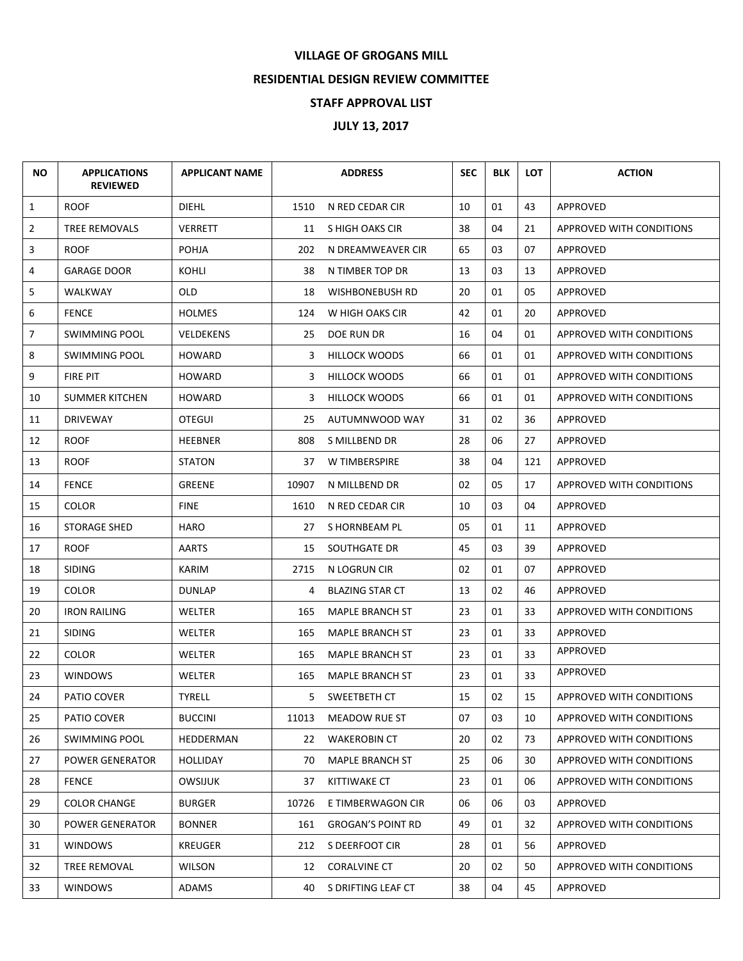## **VILLAGE OF GROGANS MILL**

## **RESIDENTIAL DESIGN REVIEW COMMITTEE**

## **STAFF APPROVAL LIST**

## **JULY 13, 2017**

| NO.            | <b>APPLICATIONS</b><br><b>REVIEWED</b> | <b>APPLICANT NAME</b> |       | <b>ADDRESS</b>           | <b>SEC</b> | <b>BLK</b> | <b>LOT</b> | <b>ACTION</b>                   |
|----------------|----------------------------------------|-----------------------|-------|--------------------------|------------|------------|------------|---------------------------------|
| $\mathbf{1}$   | <b>ROOF</b>                            | <b>DIEHL</b>          | 1510  | N RED CEDAR CIR          | 10         | 01         | 43         | APPROVED                        |
| $\overline{2}$ | <b>TREE REMOVALS</b>                   | <b>VERRETT</b>        | 11    | S HIGH OAKS CIR          | 38         | 04         | 21         | <b>APPROVED WITH CONDITIONS</b> |
| 3              | <b>ROOF</b>                            | <b>POHJA</b>          | 202   | N DREAMWEAVER CIR        | 65         | 03         | 07         | APPROVED                        |
| 4              | <b>GARAGE DOOR</b>                     | KOHLI                 | 38    | N TIMBER TOP DR          | 13         | 03         | 13         | APPROVED                        |
| 5              | WALKWAY                                | <b>OLD</b>            | 18    | WISHBONEBUSH RD          | 20         | 01         | 05         | APPROVED                        |
| 6              | <b>FENCE</b>                           | <b>HOLMES</b>         | 124   | W HIGH OAKS CIR          | 42         | 01         | 20         | APPROVED                        |
| $\overline{7}$ | <b>SWIMMING POOL</b>                   | <b>VELDEKENS</b>      | 25    | <b>DOE RUN DR</b>        | 16         | 04         | 01         | <b>APPROVED WITH CONDITIONS</b> |
| 8              | <b>SWIMMING POOL</b>                   | <b>HOWARD</b>         | 3     | <b>HILLOCK WOODS</b>     | 66         | 01         | 01         | APPROVED WITH CONDITIONS        |
| 9              | FIRE PIT                               | <b>HOWARD</b>         | 3     | <b>HILLOCK WOODS</b>     | 66         | 01         | 01         | APPROVED WITH CONDITIONS        |
| 10             | <b>SUMMER KITCHEN</b>                  | <b>HOWARD</b>         | 3     | <b>HILLOCK WOODS</b>     | 66         | 01         | 01         | <b>APPROVED WITH CONDITIONS</b> |
| 11             | <b>DRIVEWAY</b>                        | <b>OTEGUI</b>         | 25    | AUTUMNWOOD WAY           | 31         | 02         | 36         | APPROVED                        |
| 12             | <b>ROOF</b>                            | <b>HEEBNER</b>        | 808   | S MILLBEND DR            | 28         | 06         | 27         | APPROVED                        |
| 13             | <b>ROOF</b>                            | <b>STATON</b>         | 37    | W TIMBERSPIRE            | 38         | 04         | 121        | APPROVED                        |
| 14             | <b>FENCE</b>                           | <b>GREENE</b>         | 10907 | N MILLBEND DR            | 02         | 05         | 17         | <b>APPROVED WITH CONDITIONS</b> |
| 15             | <b>COLOR</b>                           | <b>FINE</b>           | 1610  | N RED CEDAR CIR          | 10         | 03         | 04         | <b>APPROVED</b>                 |
| 16             | <b>STORAGE SHED</b>                    | <b>HARO</b>           | 27    | S HORNBEAM PL            | 05         | 01         | 11         | APPROVED                        |
| 17             | <b>ROOF</b>                            | <b>AARTS</b>          | 15    | SOUTHGATE DR             | 45         | 03         | 39         | APPROVED                        |
| 18             | <b>SIDING</b>                          | KARIM                 | 2715  | N LOGRUN CIR             | 02         | 01         | 07         | APPROVED                        |
| 19             | <b>COLOR</b>                           | <b>DUNLAP</b>         | 4     | <b>BLAZING STAR CT</b>   | 13         | 02         | 46         | APPROVED                        |
| 20             | <b>IRON RAILING</b>                    | WELTER                | 165   | <b>MAPLE BRANCH ST</b>   | 23         | 01         | 33         | <b>APPROVED WITH CONDITIONS</b> |
| 21             | <b>SIDING</b>                          | WELTER                | 165   | <b>MAPLE BRANCH ST</b>   | 23         | 01         | 33         | APPROVED                        |
| 22             | <b>COLOR</b>                           | WELTER                | 165   | <b>MAPLE BRANCH ST</b>   | 23         | 01         | 33         | APPROVED                        |
| 23             | <b>WINDOWS</b>                         | <b>WELTER</b>         | 165   | <b>MAPLE BRANCH ST</b>   | 23         | 01         | 33         | APPROVED                        |
| 24             | PATIO COVER                            | <b>TYRELL</b>         | 5.    | SWEETBETH CT             | 15         | 02         | 15         | <b>APPROVED WITH CONDITIONS</b> |
| 25             | PATIO COVER                            | <b>BUCCINI</b>        | 11013 | MEADOW RUE ST            | 07         | 03         | 10         | APPROVED WITH CONDITIONS        |
| 26             | <b>SWIMMING POOL</b>                   | HEDDERMAN             | 22    | <b>WAKEROBIN CT</b>      | 20         | 02         | 73         | APPROVED WITH CONDITIONS        |
| 27             | POWER GENERATOR                        | <b>HOLLIDAY</b>       | 70    | <b>MAPLE BRANCH ST</b>   | 25         | 06         | 30         | APPROVED WITH CONDITIONS        |
| 28             | <b>FENCE</b>                           | <b>OWSIJUK</b>        | 37    | KITTIWAKE CT             | 23         | 01         | 06         | APPROVED WITH CONDITIONS        |
| 29             | <b>COLOR CHANGE</b>                    | <b>BURGER</b>         | 10726 | E TIMBERWAGON CIR        | 06         | 06         | 03         | <b>APPROVED</b>                 |
| 30             | <b>POWER GENERATOR</b>                 | <b>BONNER</b>         | 161   | <b>GROGAN'S POINT RD</b> | 49         | 01         | 32         | APPROVED WITH CONDITIONS        |
| 31             | <b>WINDOWS</b>                         | <b>KREUGER</b>        | 212   | S DEERFOOT CIR           | 28         | 01         | 56         | APPROVED                        |
| 32             | TREE REMOVAL                           | <b>WILSON</b>         | 12    | <b>CORALVINE CT</b>      | 20         | 02         | 50         | APPROVED WITH CONDITIONS        |
| 33             | <b>WINDOWS</b>                         | ADAMS                 | 40    | S DRIFTING LEAF CT       | 38         | 04         | 45         | APPROVED                        |